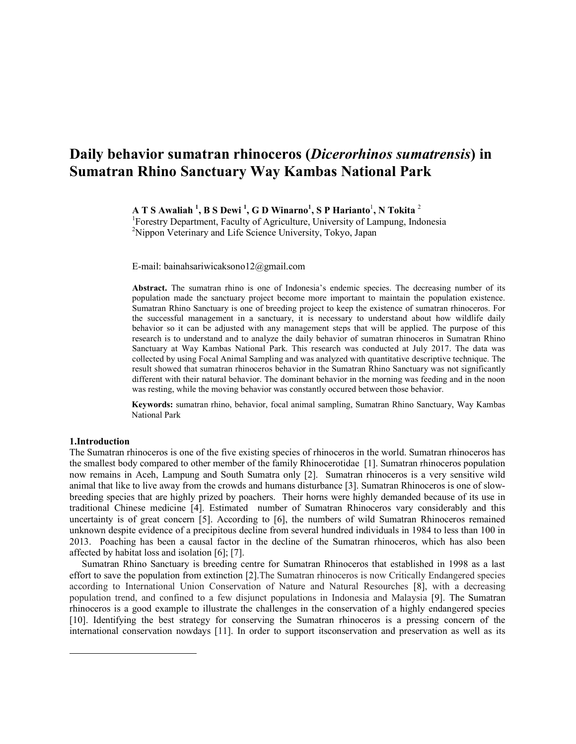# Daily behavior sumatran rhinoceros (Dicerorhinos sumatrensis) in Sumatran Rhino Sanctuary Way Kambas National Park

A T S Awaliah  $^1,$  B S Dewi  $^1,$  G D Winarno $^1,$  S P Harianto $^1,$  N Tokita  $^2$ 

<sup>1</sup>Forestry Department, Faculty of Agriculture, University of Lampung, Indonesia <sup>2</sup>Nippon Veterinary and Life Science University, Tokyo, Japan

E-mail: bainahsariwicaksono12@gmail.com

Abstract. The sumatran rhino is one of Indonesia's endemic species. The decreasing number of its population made the sanctuary project become more important to maintain the population existence. Sumatran Rhino Sanctuary is one of breeding project to keep the existence of sumatran rhinoceros. For the successful management in a sanctuary, it is necessary to understand about how wildlife daily behavior so it can be adjusted with any management steps that will be applied. The purpose of this research is to understand and to analyze the daily behavior of sumatran rhinoceros in Sumatran Rhino Sanctuary at Way Kambas National Park. This research was conducted at July 2017. The data was collected by using Focal Animal Sampling and was analyzed with quantitative descriptive technique. The result showed that sumatran rhinoceros behavior in the Sumatran Rhino Sanctuary was not significantly different with their natural behavior. The dominant behavior in the morning was feeding and in the noon was resting, while the moving behavior was constantly occured between those behavior.

Keywords: sumatran rhino, behavior, focal animal sampling, Sumatran Rhino Sanctuary, Way Kambas National Park

## 1.Introduction

 $\overline{a}$ 

The Sumatran rhinoceros is one of the five existing species of rhinoceros in the world. Sumatran rhinoceros has the smallest body compared to other member of the family Rhinocerotidae [1]. Sumatran rhinoceros population now remains in Aceh, Lampung and South Sumatra only [2]. Sumatran rhinoceros is a very sensitive wild animal that like to live away from the crowds and humans disturbance [3]. Sumatran Rhinoceros is one of slowbreeding species that are highly prized by poachers. Their horns were highly demanded because of its use in traditional Chinese medicine [4]. Estimated number of Sumatran Rhinoceros vary considerably and this uncertainty is of great concern [5]. According to [6], the numbers of wild Sumatran Rhinoceros remained unknown despite evidence of a precipitous decline from several hundred individuals in 1984 to less than 100 in 2013. Poaching has been a causal factor in the decline of the Sumatran rhinoceros, which has also been affected by habitat loss and isolation [6]; [7].

 Sumatran Rhino Sanctuary is breeding centre for Sumatran Rhinoceros that established in 1998 as a last effort to save the population from extinction [2].The Sumatran rhinoceros is now Critically Endangered species according to International Union Conservation of Nature and Natural Resourches [8], with a decreasing population trend, and confined to a few disjunct populations in Indonesia and Malaysia [9]. The Sumatran rhinoceros is a good example to illustrate the challenges in the conservation of a highly endangered species [10]. Identifying the best strategy for conserving the Sumatran rhinoceros is a pressing concern of the international conservation nowdays [11]. In order to support itsconservation and preservation as well as its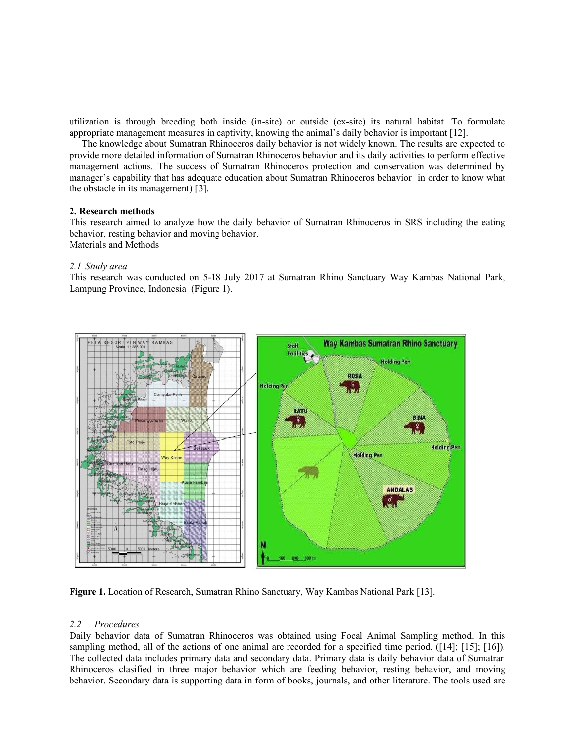utilization is through breeding both inside (in-site) or outside (ex-site) its natural habitat. To formulate appropriate management measures in captivity, knowing the animal's daily behavior is important [12].

 The knowledge about Sumatran Rhinoceros daily behavior is not widely known. The results are expected to provide more detailed information of Sumatran Rhinoceros behavior and its daily activities to perform effective management actions. The success of Sumatran Rhinoceros protection and conservation was determined by manager's capability that has adequate education about Sumatran Rhinoceros behavior in order to know what the obstacle in its management) [3].

# 2. Research methods

This research aimed to analyze how the daily behavior of Sumatran Rhinoceros in SRS including the eating behavior, resting behavior and moving behavior. Materials and Methods

# 2.1 Study area

This research was conducted on 5-18 July 2017 at Sumatran Rhino Sanctuary Way Kambas National Park, Lampung Province, Indonesia (Figure 1).



Figure 1. Location of Research, Sumatran Rhino Sanctuary, Way Kambas National Park [13].

# 2.2 Procedures

Daily behavior data of Sumatran Rhinoceros was obtained using Focal Animal Sampling method. In this sampling method, all of the actions of one animal are recorded for a specified time period. ([14]; [15]; [16]). The collected data includes primary data and secondary data. Primary data is daily behavior data of Sumatran Rhinoceros clasified in three major behavior which are feeding behavior, resting behavior, and moving behavior. Secondary data is supporting data in form of books, journals, and other literature. The tools used are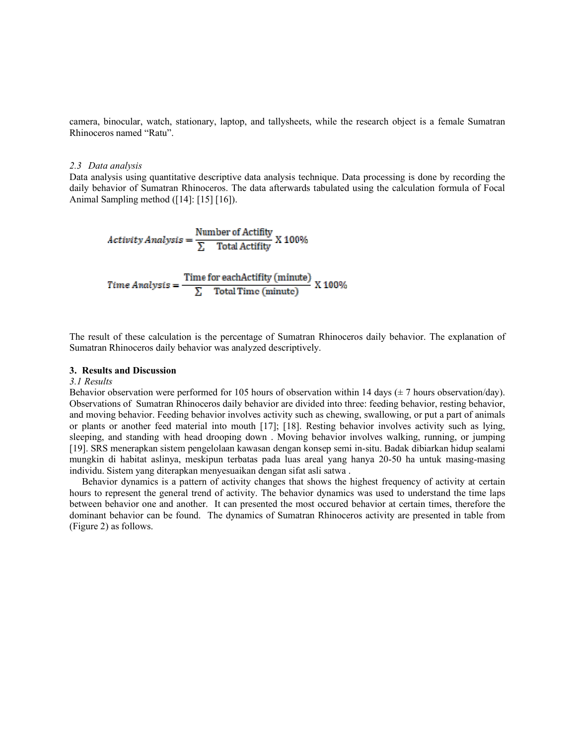camera, binocular, watch, stationary, laptop, and tallysheets, while the research object is a female Sumatran Rhinoceros named "Ratu".

#### 2.3 Data analysis

Data analysis using quantitative descriptive data analysis technique. Data processing is done by recording the daily behavior of Sumatran Rhinoceros. The data afterwards tabulated using the calculation formula of Focal Animal Sampling method ([14]: [15] [16]).

$$
Activity Analysis = \frac{Number of Activity}{\sum Total Activity} X 100\%
$$

Time Analysis =  $\frac{\text{Time for eachActivity (minute)}}{\sum \text{Total Time (minute)}}$  X 100%

The result of these calculation is the percentage of Sumatran Rhinoceros daily behavior. The explanation of Sumatran Rhinoceros daily behavior was analyzed descriptively.

#### 3. Results and Discussion

## 3.1 Results

Behavior observation were performed for 105 hours of observation within 14 days  $(\pm 7$  hours observation/day). Observations of Sumatran Rhinoceros daily behavior are divided into three: feeding behavior, resting behavior, and moving behavior. Feeding behavior involves activity such as chewing, swallowing, or put a part of animals or plants or another feed material into mouth [17]; [18]. Resting behavior involves activity such as lying, sleeping, and standing with head drooping down . Moving behavior involves walking, running, or jumping [19]. SRS menerapkan sistem pengelolaan kawasan dengan konsep semi in-situ. Badak dibiarkan hidup sealami mungkin di habitat aslinya, meskipun terbatas pada luas areal yang hanya 20-50 ha untuk masing-masing individu. Sistem yang diterapkan menyesuaikan dengan sifat asli satwa .

Behavior dynamics is a pattern of activity changes that shows the highest frequency of activity at certain hours to represent the general trend of activity. The behavior dynamics was used to understand the time laps between behavior one and another. It can presented the most occured behavior at certain times, therefore the dominant behavior can be found. The dynamics of Sumatran Rhinoceros activity are presented in table from (Figure 2) as follows.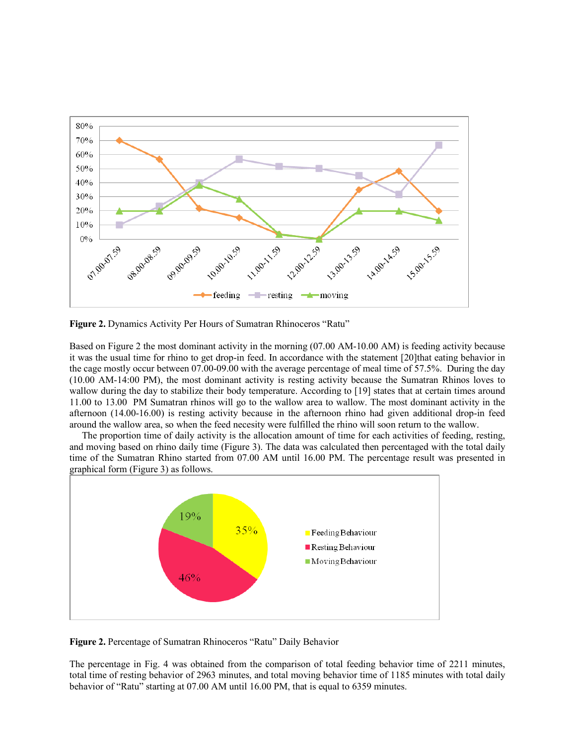

Figure 2. Dynamics Activity Per Hours of Sumatran Rhinoceros "Ratu"

Based on Figure 2 the most dominant activity in the morning (07.00 AM-10.00 AM) is feeding activity because it was the usual time for rhino to get drop-in feed. In accordance with the statement [20]that eating behavior in the cage mostly occur between 07.00-09.00 with the average percentage of meal time of 57.5%. During the day (10.00 AM-14:00 PM), the most dominant activity is resting activity because the Sumatran Rhinos loves to wallow during the day to stabilize their body temperature. According to [19] states that at certain times around 11.00 to 13.00 PM Sumatran rhinos will go to the wallow area to wallow. The most dominant activity in the afternoon (14.00-16.00) is resting activity because in the afternoon rhino had given additional drop-in feed around the wallow area, so when the feed necesity were fulfilled the rhino will soon return to the wallow.

The proportion time of daily activity is the allocation amount of time for each activities of feeding, resting, and moving based on rhino daily time (Figure 3). The data was calculated then percentaged with the total daily time of the Sumatran Rhino started from 07.00 AM until 16.00 PM. The percentage result was presented in graphical form (Figure 3) as follows.



Figure 2. Percentage of Sumatran Rhinoceros "Ratu" Daily Behavior

The percentage in Fig. 4 was obtained from the comparison of total feeding behavior time of 2211 minutes, total time of resting behavior of 2963 minutes, and total moving behavior time of 1185 minutes with total daily behavior of "Ratu" starting at 07.00 AM until 16.00 PM, that is equal to 6359 minutes.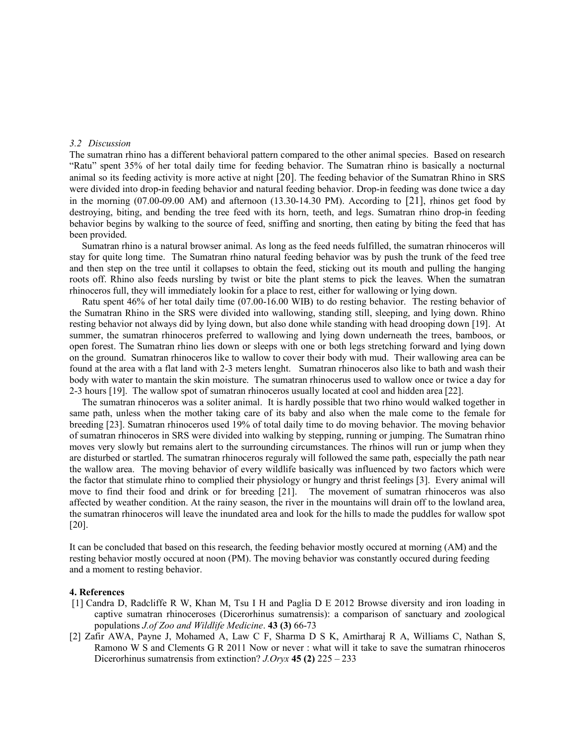## 3.2 Discussion

The sumatran rhino has a different behavioral pattern compared to the other animal species. Based on research "Ratu" spent 35% of her total daily time for feeding behavior. The Sumatran rhino is basically a nocturnal animal so its feeding activity is more active at night [20]. The feeding behavior of the Sumatran Rhino in SRS were divided into drop-in feeding behavior and natural feeding behavior. Drop-in feeding was done twice a day in the morning (07.00-09.00 AM) and afternoon (13.30-14.30 PM). According to [21], rhinos get food by destroying, biting, and bending the tree feed with its horn, teeth, and legs. Sumatran rhino drop-in feeding behavior begins by walking to the source of feed, sniffing and snorting, then eating by biting the feed that has been provided.

Sumatran rhino is a natural browser animal. As long as the feed needs fulfilled, the sumatran rhinoceros will stay for quite long time. The Sumatran rhino natural feeding behavior was by push the trunk of the feed tree and then step on the tree until it collapses to obtain the feed, sticking out its mouth and pulling the hanging roots off. Rhino also feeds nursling by twist or bite the plant stems to pick the leaves. When the sumatran rhinoceros full, they will immediately lookin for a place to rest, either for wallowing or lying down.

Ratu spent 46% of her total daily time (07.00-16.00 WIB) to do resting behavior. The resting behavior of the Sumatran Rhino in the SRS were divided into wallowing, standing still, sleeping, and lying down. Rhino resting behavior not always did by lying down, but also done while standing with head drooping down [19]. At summer, the sumatran rhinoceros preferred to wallowing and lying down underneath the trees, bamboos, or open forest. The Sumatran rhino lies down or sleeps with one or both legs stretching forward and lying down on the ground. Sumatran rhinoceros like to wallow to cover their body with mud. Their wallowing area can be found at the area with a flat land with 2-3 meters lenght. Sumatran rhinoceros also like to bath and wash their body with water to mantain the skin moisture. The sumatran rhinocerus used to wallow once or twice a day for 2-3 hours [19]. The wallow spot of sumatran rhinoceros usually located at cool and hidden area [22].

The sumatran rhinoceros was a soliter animal. It is hardly possible that two rhino would walked together in same path, unless when the mother taking care of its baby and also when the male come to the female for breeding [23]. Sumatran rhinoceros used 19% of total daily time to do moving behavior. The moving behavior of sumatran rhinoceros in SRS were divided into walking by stepping, running or jumping. The Sumatran rhino moves very slowly but remains alert to the surrounding circumstances. The rhinos will run or jump when they are disturbed or startled. The sumatran rhinoceros reguraly will followed the same path, especially the path near the wallow area. The moving behavior of every wildlife basically was influenced by two factors which were the factor that stimulate rhino to complied their physiology or hungry and thrist feelings [3]. Every animal will move to find their food and drink or for breeding [21]. The movement of sumatran rhinoceros was also affected by weather condition. At the rainy season, the river in the mountains will drain off to the lowland area, the sumatran rhinoceros will leave the inundated area and look for the hills to made the puddles for wallow spot [20].

It can be concluded that based on this research, the feeding behavior mostly occured at morning (AM) and the resting behavior mostly occured at noon (PM). The moving behavior was constantly occured during feeding and a moment to resting behavior.

#### 4. References

- [1] Candra D, Radcliffe R W, Khan M, Tsu I H and Paglia D E 2012 Browse diversity and iron loading in captive sumatran rhinoceroses (Dicerorhinus sumatrensis): a comparison of sanctuary and zoological populations J.of Zoo and Wildlife Medicine. 43 (3) 66-73
- [2] Zafir AWA, Payne J, Mohamed A, Law C F, Sharma D S K, Amirtharaj R A, Williams C, Nathan S, Ramono W S and Clements G R 2011 Now or never : what will it take to save the sumatran rhinoceros Dicerorhinus sumatrensis from extinction?  $J. Oryx$  45 (2) 225 – 233